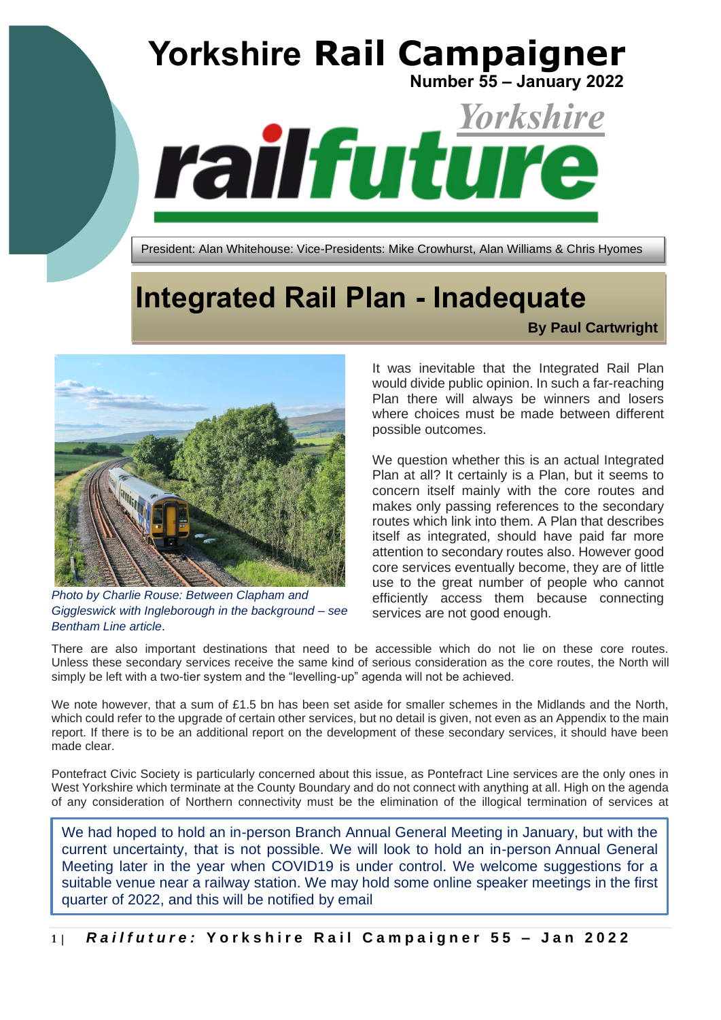

# **Integrated Rail Plan - Inadequate**

**By Paul Cartwright**



*Photo by Charlie Rouse: Between Clapham and Giggleswick with Ingleborough in the background – see Bentham Line article*.

It was inevitable that the Integrated Rail Plan would divide public opinion. In such a far-reaching Plan there will always be winners and losers where choices must be made between different possible outcomes.

We question whether this is an actual Integrated Plan at all? It certainly is a Plan, but it seems to concern itself mainly with the core routes and makes only passing references to the secondary routes which link into them. A Plan that describes itself as integrated, should have paid far more attention to secondary routes also. However good core services eventually become, they are of little use to the great number of people who cannot efficiently access them because connecting services are not good enough.

There are also important destinations that need to be accessible which do not lie on these core routes. Unless these secondary services receive the same kind of serious consideration as the core routes, the North will simply be left with a two-tier system and the "levelling-up" agenda will not be achieved.

We note however, that a sum of £1.5 bn has been set aside for smaller schemes in the Midlands and the North, which could refer to the upgrade of certain other services, but no detail is given, not even as an Appendix to the main report. If there is to be an additional report on the development of these secondary services, it should have been made clear.

Pontefract Civic Society is particularly concerned about this issue, as Pontefract Line services are the only ones in West Yorkshire which terminate at the County Boundary and do not connect with anything at all. High on the agenda of any consideration of Northern connectivity must be the elimination of the illogical termination of services at

We had hoped to hold an in-person Branch Annual General Meeting in January, but with the current uncertainty, that is not possible. We will look to hold an in-person Annual General Meeting later in the year when COVID19 is under control. We welcome suggestions for a suitable venue near a railway station. We may hold some online speaker meetings in the first quarter of 2022, and this will be notified by email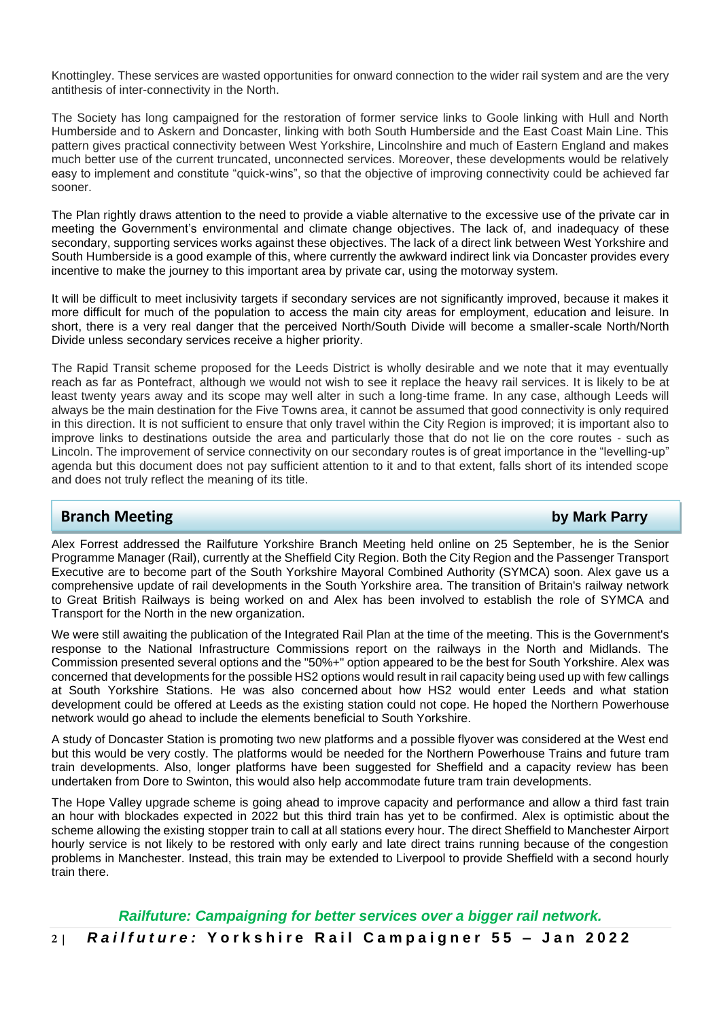Knottingley. These services are wasted opportunities for onward connection to the wider rail system and are the very antithesis of inter-connectivity in the North.

The Society has long campaigned for the restoration of former service links to Goole linking with Hull and North Humberside and to Askern and Doncaster, linking with both South Humberside and the East Coast Main Line. This pattern gives practical connectivity between West Yorkshire, Lincolnshire and much of Eastern England and makes much better use of the current truncated, unconnected services. Moreover, these developments would be relatively easy to implement and constitute "quick-wins", so that the objective of improving connectivity could be achieved far sooner.

The Plan rightly draws attention to the need to provide a viable alternative to the excessive use of the private car in meeting the Government's environmental and climate change objectives. The lack of, and inadequacy of these secondary, supporting services works against these objectives. The lack of a direct link between West Yorkshire and South Humberside is a good example of this, where currently the awkward indirect link via Doncaster provides every incentive to make the journey to this important area by private car, using the motorway system.

It will be difficult to meet inclusivity targets if secondary services are not significantly improved, because it makes it more difficult for much of the population to access the main city areas for employment, education and leisure. In short, there is a very real danger that the perceived North/South Divide will become a smaller-scale North/North Divide unless secondary services receive a higher priority.

The Rapid Transit scheme proposed for the Leeds District is wholly desirable and we note that it may eventually reach as far as Pontefract, although we would not wish to see it replace the heavy rail services. It is likely to be at least twenty years away and its scope may well alter in such a long-time frame. In any case, although Leeds will always be the main destination for the Five Towns area, it cannot be assumed that good connectivity is only required in this direction. It is not sufficient to ensure that only travel within the City Region is improved; it is important also to improve links to destinations outside the area and particularly those that do not lie on the core routes - such as Lincoln. The improvement of service connectivity on our secondary routes is of great importance in the "levelling-up" agenda but this document does not pay sufficient attention to it and to that extent, falls short of its intended scope and does not truly reflect the meaning of its title.

# **Branch Meeting by Mark Parry**

Alex Forrest addressed the Railfuture Yorkshire Branch Meeting held online on 25 September, he is the Senior Programme Manager (Rail), currently at the Sheffield City Region. Both the City Region and the Passenger Transport Executive are to become part of the South Yorkshire Mayoral Combined Authority (SYMCA) soon. Alex gave us a comprehensive update of rail developments in the South Yorkshire area. The transition of Britain's railway network to Great British Railways is being worked on and Alex has been involved to establish the role of SYMCA and Transport for the North in the new organization.

We were still awaiting the publication of the Integrated Rail Plan at the time of the meeting. This is the Government's response to the National Infrastructure Commissions report on the railways in the North and Midlands. The Commission presented several options and the "50%+" option appeared to be the best for South Yorkshire. Alex was concerned that developments for the possible HS2 options would result in rail capacity being used up with few callings at South Yorkshire Stations. He was also concerned about how HS2 would enter Leeds and what station development could be offered at Leeds as the existing station could not cope. He hoped the Northern Powerhouse network would go ahead to include the elements beneficial to South Yorkshire.

A study of Doncaster Station is promoting two new platforms and a possible flyover was considered at the West end but this would be very costly. The platforms would be needed for the Northern Powerhouse Trains and future tram train developments. Also, longer platforms have been suggested for Sheffield and a capacity review has been undertaken from Dore to Swinton, this would also help accommodate future tram train developments.

The Hope Valley upgrade scheme is going ahead to improve capacity and performance and allow a third fast train an hour with blockades expected in 2022 but this third train has yet to be confirmed. Alex is optimistic about the scheme allowing the existing stopper train to call at all stations every hour. The direct Sheffield to Manchester Airport hourly service is not likely to be restored with only early and late direct trains running because of the congestion problems in Manchester. Instead, this train may be extended to Liverpool to provide Sheffield with a second hourly train there.

**2 |** *R a i l f u t u r e :* **Y o r k s h i r e R a i l C a m p a i g n e r 5 5 – Jan 2 0 2 2** *Railfuture: Campaigning for better services over a bigger rail network.*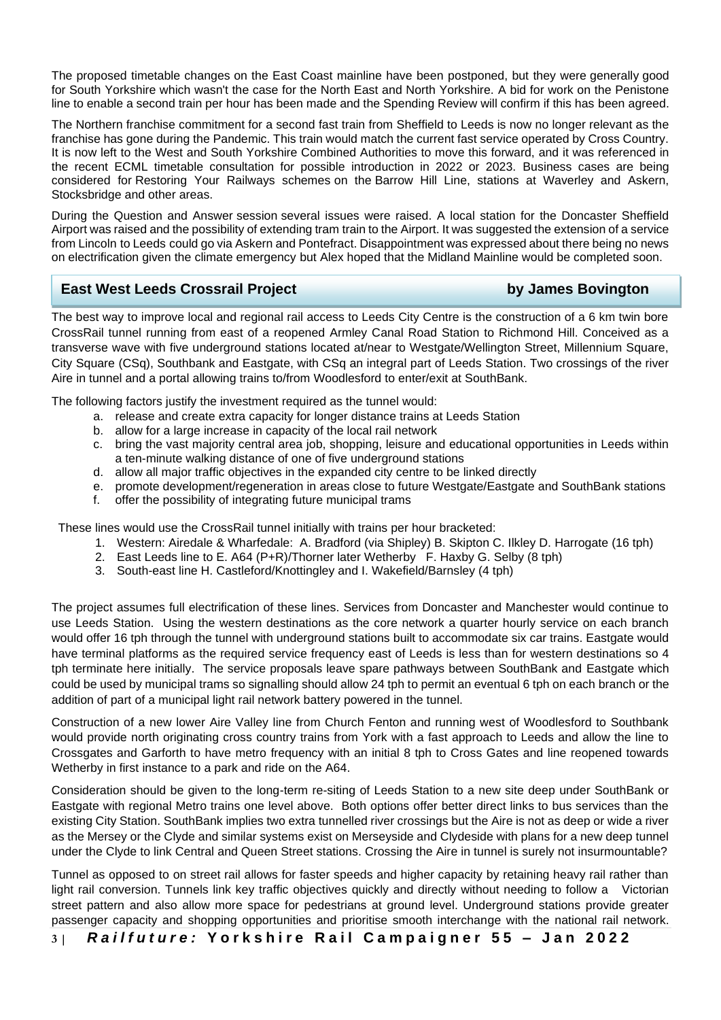The proposed timetable changes on the East Coast mainline have been postponed, but they were generally good for South Yorkshire which wasn't the case for the North East and North Yorkshire. A bid for work on the Penistone line to enable a second train per hour has been made and the Spending Review will confirm if this has been agreed.

The Northern franchise commitment for a second fast train from Sheffield to Leeds is now no longer relevant as the franchise has gone during the Pandemic. This train would match the current fast service operated by Cross Country. It is now left to the West and South Yorkshire Combined Authorities to move this forward, and it was referenced in the recent ECML timetable consultation for possible introduction in 2022 or 2023. Business cases are being considered for Restoring Your Railways schemes on the Barrow Hill Line, stations at Waverley and Askern, Stocksbridge and other areas.

During the Question and Answer session several issues were raised. A local station for the Doncaster Sheffield Airport was raised and the possibility of extending tram train to the Airport. It was suggested the extension of a service from Lincoln to Leeds could go via Askern and Pontefract. Disappointment was expressed about there being no news on electrification given the climate emergency but Alex hoped that the Midland Mainline would be completed soon.

# **East West Leeds Crossrail Project by James Bovington**

The best way to improve local and regional rail access to Leeds City Centre is the construction of a 6 km twin bore CrossRail tunnel running from east of a reopened Armley Canal Road Station to Richmond Hill. Conceived as a transverse wave with five underground stations located at/near to Westgate/Wellington Street, Millennium Square, City Square (CSq), Southbank and Eastgate, with CSq an integral part of Leeds Station. Two crossings of the river Aire in tunnel and a portal allowing trains to/from Woodlesford to enter/exit at SouthBank. **The best way to improve local and regional rail access to Leeds City Centre is the construction of a 6 km** 

The following factors justify the investment required as the tunnel would:

- a. release and create extra capacity for longer distance trains at Leeds Station
- b. allow for a large increase in capacity of the local rail network
- c. bring the vast majority central area job, shopping, leisure and educational opportunities in Leeds within a ten-minute walking distance of one of five underground stations
- d. allow all major traffic objectives in the expanded city centre to be linked directly
- e. promote development/regeneration in areas close to future Westgate/Eastgate and SouthBank stations
- f. offer the possibility of integrating future municipal trams

These lines would use the CrossRail tunnel initially with trains per hour bracketed:

- 1. Western: Airedale & Wharfedale: A. Bradford (via Shipley) B. Skipton C. Ilkley D. Harrogate (16 tph)
- 2. East Leeds line to E. A64 (P+R)/Thorner later Wetherby F. Haxby G. Selby (8 tph)
- 3. South-east line H. Castleford/Knottingley and I. Wakefield/Barnsley (4 tph)

The project assumes full electrification of these lines. Services from Doncaster and Manchester would continue to use Leeds Station. Using the western destinations as the core network a quarter hourly service on each branch would offer 16 tph through the tunnel with underground stations built to accommodate six car trains. Eastgate would have terminal platforms as the required service frequency east of Leeds is less than for western destinations so 4 tph terminate here initially. The service proposals leave spare pathways between SouthBank and Eastgate which could be used by municipal trams so signalling should allow 24 tph to permit an eventual 6 tph on each branch or the addition of part of a municipal light rail network battery powered in the tunnel.

Construction of a new lower Aire Valley line from Church Fenton and running west of Woodlesford to Southbank would provide north originating cross country trains from York with a fast approach to Leeds and allow the line to Crossgates and Garforth to have metro frequency with an initial 8 tph to Cross Gates and line reopened towards Wetherby in first instance to a park and ride on the A64.

Consideration should be given to the long-term re-siting of Leeds Station to a new site deep under SouthBank or Eastgate with regional Metro trains one level above. Both options offer better direct links to bus services than the existing City Station. SouthBank implies two extra tunnelled river crossings but the Aire is not as deep or wide a river as the Mersey or the Clyde and similar systems exist on Merseyside and Clydeside with plans for a new deep tunnel under the Clyde to link Central and Queen Street stations. Crossing the Aire in tunnel is surely not insurmountable?

Tunnel as opposed to on street rail allows for faster speeds and higher capacity by retaining heavy rail rather than light rail conversion. Tunnels link key traffic objectives quickly and directly without needing to follow a Victorian street pattern and also allow more space for pedestrians at ground level. Underground stations provide greater passenger capacity and shopping opportunities and prioritise smooth interchange with the national rail network.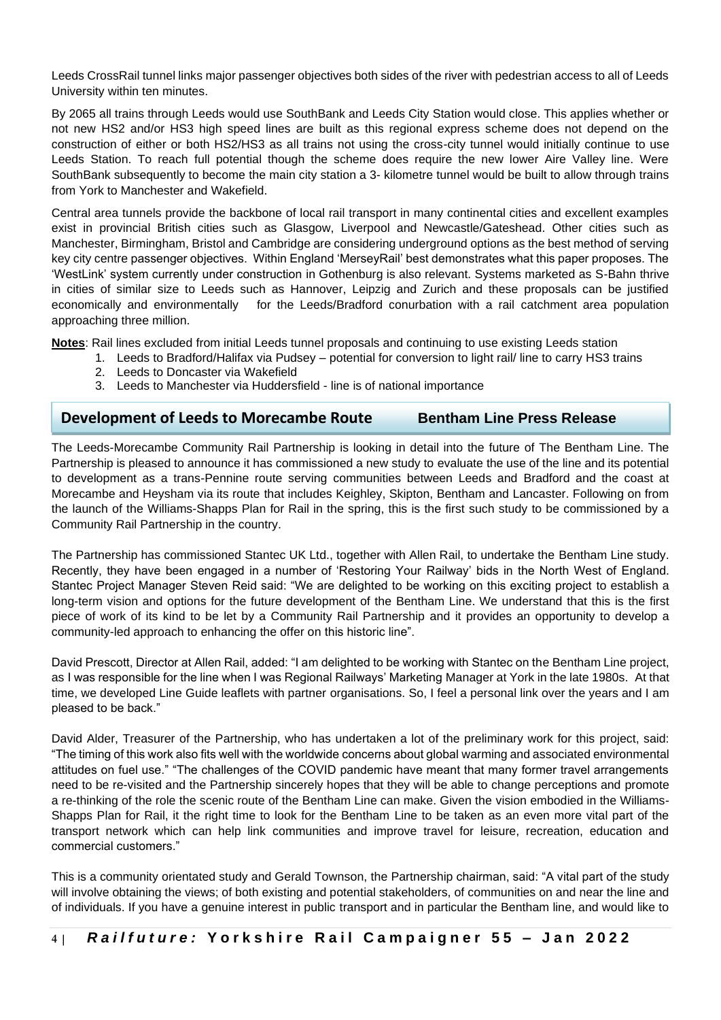Leeds CrossRail tunnel links major passenger objectives both sides of the river with pedestrian access to all of Leeds University within ten minutes.

By 2065 all trains through Leeds would use SouthBank and Leeds City Station would close. This applies whether or not new HS2 and/or HS3 high speed lines are built as this regional express scheme does not depend on the construction of either or both HS2/HS3 as all trains not using the cross-city tunnel would initially continue to use Leeds Station. To reach full potential though the scheme does require the new lower Aire Valley line. Were SouthBank subsequently to become the main city station a 3- kilometre tunnel would be built to allow through trains from York to Manchester and Wakefield.

Central area tunnels provide the backbone of local rail transport in many continental cities and excellent examples exist in provincial British cities such as Glasgow, Liverpool and Newcastle/Gateshead. Other cities such as Manchester, Birmingham, Bristol and Cambridge are considering underground options as the best method of serving key city centre passenger objectives. Within England 'MerseyRail' best demonstrates what this paper proposes. The 'WestLink' system currently under construction in Gothenburg is also relevant. Systems marketed as S-Bahn thrive in cities of similar size to Leeds such as Hannover, Leipzig and Zurich and these proposals can be justified economically and environmentally for the Leeds/Bradford conurbation with a rail catchment area population approaching three million.

**Notes**: Rail lines excluded from initial Leeds tunnel proposals and continuing to use existing Leeds station

- 1. Leeds to Bradford/Halifax via Pudsey potential for conversion to light rail/ line to carry HS3 trains
- 2. Leeds to Doncaster via Wakefield
- 3. Leeds to Manchester via Huddersfield line is of national importance

# **Development of Leeds to Morecambe Route Bentham Line Press Release**

The Leeds-Morecambe Community Rail Partnership is looking in detail into the future of The Bentham Line. The Partnership is pleased to announce it has commissioned a new study to evaluate the use of the line and its potential to development as a trans-Pennine route serving communities between Leeds and Bradford and the coast at Morecambe and Heysham via its route that includes Keighley, Skipton, Bentham and Lancaster. Following on from the launch of the Williams-Shapps Plan for Rail in the spring, this is the first such study to be commissioned by a Community Rail Partnership in the country.

The Partnership has commissioned Stantec UK Ltd., together with Allen Rail, to undertake the Bentham Line study. Recently, they have been engaged in a number of 'Restoring Your Railway' bids in the North West of England. Stantec Project Manager Steven Reid said: "We are delighted to be working on this exciting project to establish a long-term vision and options for the future development of the Bentham Line. We understand that this is the first piece of work of its kind to be let by a Community Rail Partnership and it provides an opportunity to develop a community-led approach to enhancing the offer on this historic line".

David Prescott, Director at Allen Rail, added: "I am delighted to be working with Stantec on the Bentham Line project, as I was responsible for the line when I was Regional Railways' Marketing Manager at York in the late 1980s. At that time, we developed Line Guide leaflets with partner organisations. So, I feel a personal link over the years and I am pleased to be back."

David Alder, Treasurer of the Partnership, who has undertaken a lot of the preliminary work for this project, said: "The timing of this work also fits well with the worldwide concerns about global warming and associated environmental attitudes on fuel use." "The challenges of the COVID pandemic have meant that many former travel arrangements need to be re-visited and the Partnership sincerely hopes that they will be able to change perceptions and promote a re-thinking of the role the scenic route of the Bentham Line can make. Given the vision embodied in the Williams-Shapps Plan for Rail, it the right time to look for the Bentham Line to be taken as an even more vital part of the transport network which can help link communities and improve travel for leisure, recreation, education and commercial customers."

This is a community orientated study and Gerald Townson, the Partnership chairman, said: "A vital part of the study will involve obtaining the views; of both existing and potential stakeholders, of communities on and near the line and of individuals. If you have a genuine interest in public transport and in particular the Bentham line, and would like to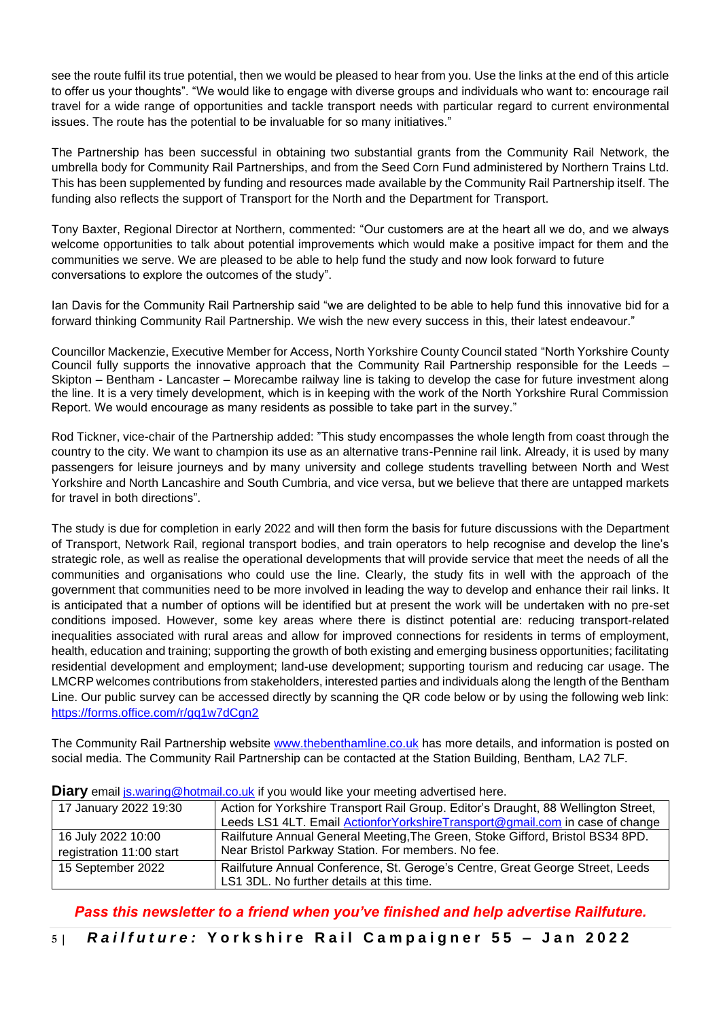see the route fulfil its true potential, then we would be pleased to hear from you. Use the links at the end of this article to offer us your thoughts". "We would like to engage with diverse groups and individuals who want to: encourage rail travel for a wide range of opportunities and tackle transport needs with particular regard to current environmental issues. The route has the potential to be invaluable for so many initiatives."

The Partnership has been successful in obtaining two substantial grants from the Community Rail Network, the umbrella body for Community Rail Partnerships, and from the Seed Corn Fund administered by Northern Trains Ltd. This has been supplemented by funding and resources made available by the Community Rail Partnership itself. The funding also reflects the support of Transport for the North and the Department for Transport.

Tony Baxter, Regional Director at Northern, commented: "Our customers are at the heart all we do, and we always welcome opportunities to talk about potential improvements which would make a positive impact for them and the communities we serve. We are pleased to be able to help fund the study and now look forward to future conversations to explore the outcomes of the study".

Ian Davis for the Community Rail Partnership said "we are delighted to be able to help fund this innovative bid for a forward thinking Community Rail Partnership. We wish the new every success in this, their latest endeavour."

Councillor Mackenzie, Executive Member for Access, North Yorkshire County Council stated "North Yorkshire County Council fully supports the innovative approach that the Community Rail Partnership responsible for the Leeds – Skipton – Bentham - Lancaster – Morecambe railway line is taking to develop the case for future investment along the line. It is a very timely development, which is in keeping with the work of the North Yorkshire Rural Commission Report. We would encourage as many residents as possible to take part in the survey."

Rod Tickner, vice-chair of the Partnership added: "This study encompasses the whole length from coast through the country to the city. We want to champion its use as an alternative trans-Pennine rail link. Already, it is used by many passengers for leisure journeys and by many university and college students travelling between North and West Yorkshire and North Lancashire and South Cumbria, and vice versa, but we believe that there are untapped markets for travel in both directions".

The study is due for completion in early 2022 and will then form the basis for future discussions with the Department of Transport, Network Rail, regional transport bodies, and train operators to help recognise and develop the line's strategic role, as well as realise the operational developments that will provide service that meet the needs of all the communities and organisations who could use the line. Clearly, the study fits in well with the approach of the government that communities need to be more involved in leading the way to develop and enhance their rail links. It is anticipated that a number of options will be identified but at present the work will be undertaken with no pre-set conditions imposed. However, some key areas where there is distinct potential are: reducing transport-related inequalities associated with rural areas and allow for improved connections for residents in terms of employment, health, education and training; supporting the growth of both existing and emerging business opportunities; facilitating residential development and employment; land-use development; supporting tourism and reducing car usage. The LMCRP welcomes contributions from stakeholders, interested parties and individuals along the length of the Bentham Line. Our public survey can be accessed directly by scanning the QR code below or by using the following web link: <https://forms.office.com/r/gq1w7dCgn2>

The Community Rail Partnership website [www.thebenthamline.co.uk](http://www.thebenthamline.co.uk/) has more details, and information is posted on social media. The Community Rail Partnership can be contacted at the Station Building, Bentham, LA2 7LF.

| <b>Example manning Chromain.co.an</b> in you modia line your mooding duvorabou noro. |                                                                                    |  |
|--------------------------------------------------------------------------------------|------------------------------------------------------------------------------------|--|
| 17 January 2022 19:30                                                                | Action for Yorkshire Transport Rail Group. Editor's Draught, 88 Wellington Street, |  |
|                                                                                      | Leeds LS1 4LT. Email ActionforYorkshireTransport@gmail.com in case of change       |  |
| 16 July 2022 10:00                                                                   | Railfuture Annual General Meeting, The Green, Stoke Gifford, Bristol BS34 8PD.     |  |
| registration 11:00 start                                                             | Near Bristol Parkway Station. For members. No fee.                                 |  |
| 15 September 2022                                                                    | Railfuture Annual Conference, St. Geroge's Centre, Great George Street, Leeds      |  |
|                                                                                      | LS1 3DL. No further details at this time.                                          |  |

**Diary** email is waring@hotmail.co.uk if you would like your meeting advertised here.

# *Pass this newsletter to a friend when you've finished and help advertise Railfuture.*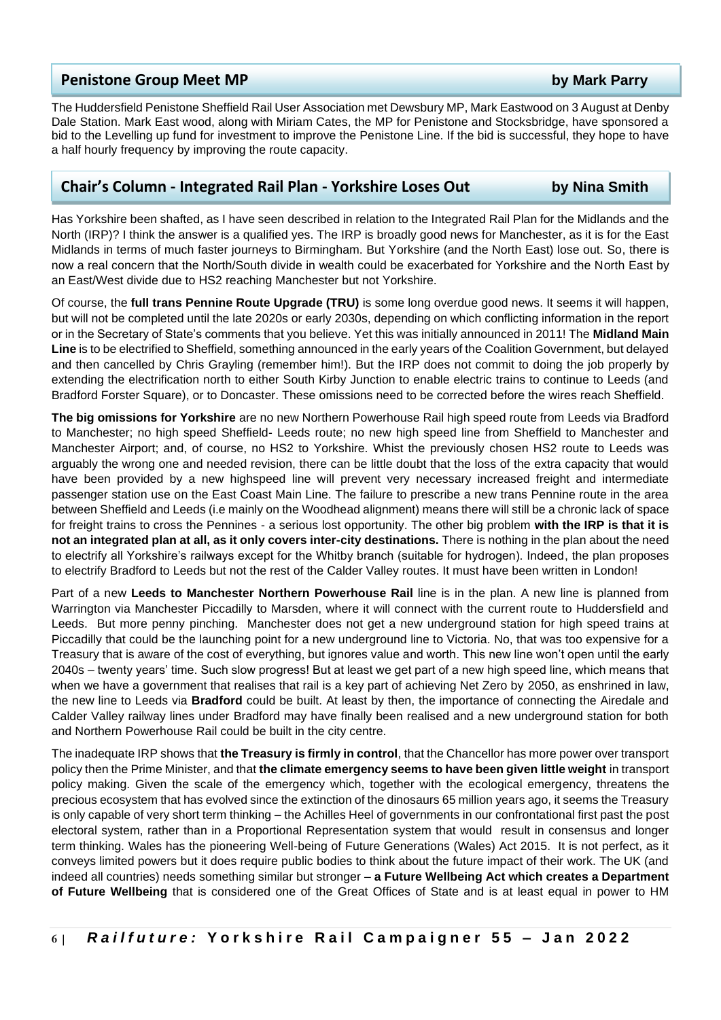### **Penistone Group Meet MP by Mark Parry**

The Huddersfield Penistone Sheffield Rail User Association met Dewsbury MP, Mark Eastwood on 3 August at Denby Dale Station. Mark East wood, along with Miriam Cates, the MP for Penistone and Stocksbridge, have sponsored a bid to the Levelling up fund for investment to improve the Penistone Line. If the bid is successful, they hope to have a half hourly frequency by improving the route capacity.

### **Chair's Column - Integrated Rail Plan - Yorkshire Loses Out by Nina Smith**

Has Yorkshire been shafted, as I have seen described in relation to the Integrated Rail Plan for the Midlands and the North (IRP)? I think the answer is a qualified yes. The IRP is broadly good news for Manchester, as it is for the East Midlands in terms of much faster journeys to Birmingham. But Yorkshire (and the North East) lose out. So, there is now a real concern that the North/South divide in wealth could be exacerbated for Yorkshire and the North East by an East/West divide due to HS2 reaching Manchester but not Yorkshire.

Of course, the **full trans Pennine Route Upgrade (TRU)** is some long overdue good news. It seems it will happen, but will not be completed until the late 2020s or early 2030s, depending on which conflicting information in the report or in the Secretary of State's comments that you believe. Yet this was initially announced in 2011! The **Midland Main Line** is to be electrified to Sheffield, something announced in the early years of the Coalition Government, but delayed and then cancelled by Chris Grayling (remember him!). But the IRP does not commit to doing the job properly by extending the electrification north to either South Kirby Junction to enable electric trains to continue to Leeds (and Bradford Forster Square), or to Doncaster. These omissions need to be corrected before the wires reach Sheffield.

**The big omissions for Yorkshire** are no new Northern Powerhouse Rail high speed route from Leeds via Bradford to Manchester; no high speed Sheffield- Leeds route; no new high speed line from Sheffield to Manchester and Manchester Airport; and, of course, no HS2 to Yorkshire. Whist the previously chosen HS2 route to Leeds was arguably the wrong one and needed revision, there can be little doubt that the loss of the extra capacity that would have been provided by a new highspeed line will prevent very necessary increased freight and intermediate passenger station use on the East Coast Main Line. The failure to prescribe a new trans Pennine route in the area between Sheffield and Leeds (i.e mainly on the Woodhead alignment) means there will still be a chronic lack of space for freight trains to cross the Pennines - a serious lost opportunity. The other big problem **with the IRP is that it is not an integrated plan at all, as it only covers inter-city destinations.** There is nothing in the plan about the need to electrify all Yorkshire's railways except for the Whitby branch (suitable for hydrogen). Indeed, the plan proposes to electrify Bradford to Leeds but not the rest of the Calder Valley routes. It must have been written in London!

Part of a new **Leeds to Manchester Northern Powerhouse Rail** line is in the plan. A new line is planned from Warrington via Manchester Piccadilly to Marsden, where it will connect with the current route to Huddersfield and Leeds. But more penny pinching. Manchester does not get a new underground station for high speed trains at Piccadilly that could be the launching point for a new underground line to Victoria. No, that was too expensive for a Treasury that is aware of the cost of everything, but ignores value and worth. This new line won't open until the early 2040s – twenty years' time. Such slow progress! But at least we get part of a new high speed line, which means that when we have a government that realises that rail is a key part of achieving Net Zero by 2050, as enshrined in law, the new line to Leeds via **Bradford** could be built. At least by then, the importance of connecting the Airedale and Calder Valley railway lines under Bradford may have finally been realised and a new underground station for both and Northern Powerhouse Rail could be built in the city centre.

The inadequate IRP shows that **the Treasury is firmly in control**, that the Chancellor has more power over transport policy then the Prime Minister, and that **the climate emergency seems to have been given little weight** in transport policy making. Given the scale of the emergency which, together with the ecological emergency, threatens the precious ecosystem that has evolved since the extinction of the dinosaurs 65 million years ago, it seems the Treasury is only capable of very short term thinking – the Achilles Heel of governments in our confrontational first past the post electoral system, rather than in a Proportional Representation system that would result in consensus and longer term thinking. Wales has the pioneering Well-being of Future Generations (Wales) Act 2015. It is not perfect, as it conveys limited powers but it does require public bodies to think about the future impact of their work. The UK (and indeed all countries) needs something similar but stronger – **a Future Wellbeing Act which creates a Department of Future Wellbeing** that is considered one of the Great Offices of State and is at least equal in power to HM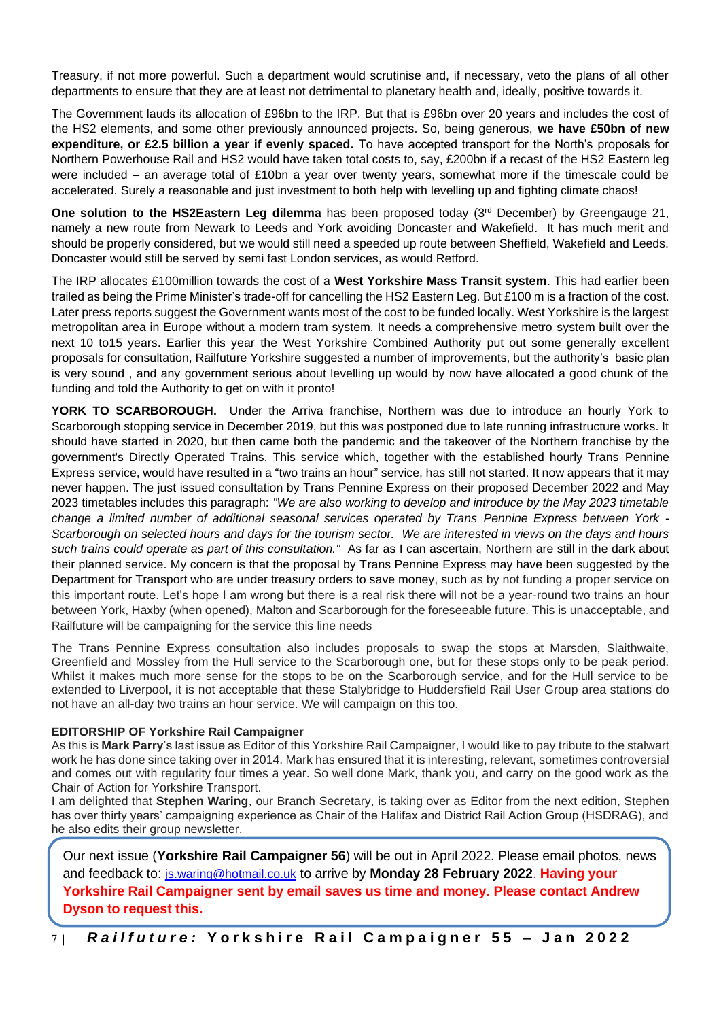Treasury, if not more powerful. Such a department would scrutinise and, if necessary, veto the plans of all other departments to ensure that they are at least not detrimental to planetary health and, ideally, positive towards it.

The Government lauds its allocation of £96bn to the IRP. But that is £96bn over 20 years and includes the cost of the HS2 elements, and some other previously announced projects. So, being generous, **we have £50bn of new expenditure, or £2.5 billion a year if evenly spaced.** To have accepted transport for the North's proposals for Northern Powerhouse Rail and HS2 would have taken total costs to, say, £200bn if a recast of the HS2 Eastern leg were included – an average total of £10bn a year over twenty years, somewhat more if the timescale could be accelerated. Surely a reasonable and just investment to both help with levelling up and fighting climate chaos!

**One solution to the HS2Eastern Leg dilemma** has been proposed today (3<sup>rd</sup> December) by Greengauge 21, namely a new route from Newark to Leeds and York avoiding Doncaster and Wakefield. It has much merit and should be properly considered, but we would still need a speeded up route between Sheffield, Wakefield and Leeds. Doncaster would still be served by semi fast London services, as would Retford.

The IRP allocates £100million towards the cost of a **West Yorkshire Mass Transit system**. This had earlier been trailed as being the Prime Minister's trade-off for cancelling the HS2 Eastern Leg. But £100 m is a fraction of the cost. Later press reports suggest the Government wants most of the cost to be funded locally. West Yorkshire is the largest metropolitan area in Europe without a modern tram system. It needs a comprehensive metro system built over the next 10 to15 years. Earlier this year the West Yorkshire Combined Authority put out some generally excellent proposals for consultation, Railfuture Yorkshire suggested a number of improvements, but the authority's basic plan is very sound , and any government serious about levelling up would by now have allocated a good chunk of the funding and told the Authority to get on with it pronto!

**YORK TO SCARBOROUGH.** Under the Arriva franchise, Northern was due to introduce an hourly York to Scarborough stopping service in December 2019, but this was postponed due to late running infrastructure works. It should have started in 2020, but then came both the pandemic and the takeover of the Northern franchise by the government's Directly Operated Trains. This service which, together with the established hourly Trans Pennine Express service, would have resulted in a "two trains an hour" service, has still not started. It now appears that it may never happen. The just issued consultation by Trans Pennine Express on their proposed December 2022 and May 2023 timetables includes this paragraph: *"We are also working to develop and introduce by the May 2023 timetable change a limited number of additional seasonal services operated by Trans Pennine Express between York - Scarborough on selected hours and days for the tourism sector. We are interested in views on the days and hours such trains could operate as part of this consultation."* As far as I can ascertain, Northern are still in the dark about their planned service. My concern is that the proposal by Trans Pennine Express may have been suggested by the Department for Transport who are under treasury orders to save money, such as by not funding a proper service on this important route. Let's hope I am wrong but there is a real risk there will not be a year-round two trains an hour between York, Haxby (when opened), Malton and Scarborough for the foreseeable future. This is unacceptable, and Railfuture will be campaigning for the service this line needs

The Trans Pennine Express consultation also includes proposals to swap the stops at Marsden, Slaithwaite, Greenfield and Mossley from the Hull service to the Scarborough one, but for these stops only to be peak period. Whilst it makes much more sense for the stops to be on the Scarborough service, and for the Hull service to be extended to Liverpool, it is not acceptable that these Stalybridge to Huddersfield Rail User Group area stations do not have an all-day two trains an hour service. We will campaign on this too.

#### **EDITORSHIP OF Yorkshire Rail Campaigner**

As this is **Mark Parry**'s last issue as Editor of this Yorkshire Rail Campaigner, I would like to pay tribute to the stalwart work he has done since taking over in 2014. Mark has ensured that it is interesting, relevant, sometimes controversial and comes out with regularity four times a year. So well done Mark, thank you, and carry on the good work as the Chair of Action for Yorkshire Transport.

I am delighted that **Stephen Waring**, our Branch Secretary, is taking over as Editor from the next edition, Stephen has over thirty years' campaigning experience as Chair of the Halifax and District Rail Action Group (HSDRAG), and he also edits their group newsletter.

Our next issue (**Yorkshire Rail Campaigner 56**) will be out in April 2022. Please email photos, news and feedback to: [js.waring@hotmail.co.uk](mailto:js.waring@hotmail.co.uk) to arrive by **Monday 28 February 2022**. **Having your Yorkshire Rail Campaigner sent by email saves us time and money. Please contact Andrew Dyson to request this.**

**7 |** *R a i l f u t u r e :* **Y o r k s h i r e R a i l C a m p a i g n e r 5 5 – Jan 2 0 2 2**